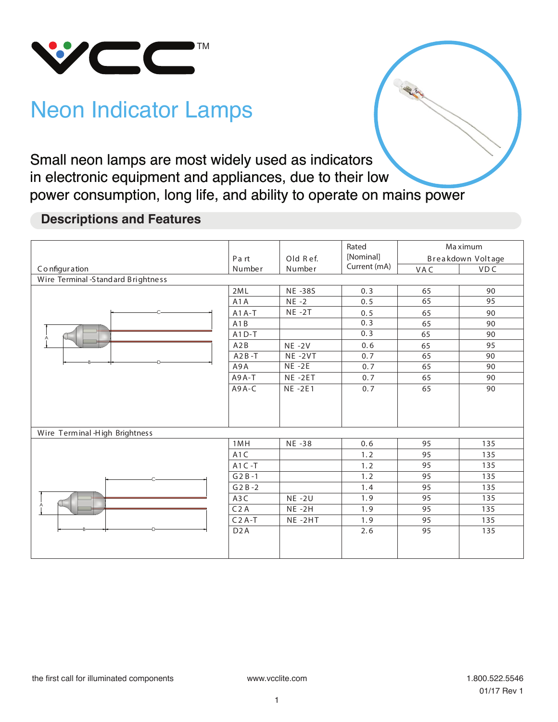

# Neon Indicator Lamps

Small neon lamps are most widely used as indicators in electronic equipment and appliances, due to their low power consumption, long life, and ability to operate on mains power

## **Descriptions and Features**

|                                    | Part             | Old Ref.<br>Number | Rated<br>[Nominal] | Ma ximum<br>Breakdown Voltage |            |
|------------------------------------|------------------|--------------------|--------------------|-------------------------------|------------|
| Configuration                      | Number           |                    | Current (mA)       | VAC                           | <b>VDC</b> |
| Wire Terminal -Standard Brightness |                  |                    |                    |                               |            |
|                                    | 2ML              | <b>NE-38S</b>      | 0.3                | 65                            | 90         |
|                                    | A <sub>1</sub> A | $NE -2$            | 0.5                | 65                            | 95         |
|                                    | $A1A-T$          | $NE -2T$           | 0.5                | 65                            | 90         |
|                                    | A1B              |                    | 0.3                | 65                            | 90         |
|                                    | $A1D-T$          |                    | 0.3                | 65                            | 90         |
|                                    | A2B              | $NE - 2V$          | 0.6                | 65                            | 95         |
|                                    | $A2B-T$          | $NE - 2VT$         | 0.7                | 65                            | 90         |
|                                    | A9A              | $NE - 2E$          | 0.7                | 65                            | 90         |
|                                    | A9A-T            | NE-2ET             | 0.7                | 65                            | 90         |
|                                    | A9A-C            | <b>NE-2E1</b>      | 0.7                | 65                            | 90         |
| Wire Terminal High Brightness      |                  |                    |                    |                               |            |
|                                    | 1MH              | NE -38             | 0.6                | 95                            | 135        |
|                                    | A <sub>1</sub> C |                    | 1.2                | 95                            | 135        |
|                                    | $A1C - T$        |                    | 1.2                | 95                            | 135        |
|                                    | $G2B-1$          |                    | 1.2                | 95                            | 135        |
|                                    | $G2B-2$          |                    | 1.4                | 95                            | 135        |
|                                    | A <sub>3</sub> C | <b>NE-2U</b>       | 1.9                | 95                            | 135        |
|                                    | C <sub>2</sub> A | $NE -2H$           | 1.9                | 95                            | 135        |
|                                    | $C2A-T$          | NE-2HT             | 1.9                | 95                            | 135        |
|                                    | D <sub>2</sub> A |                    | 2.6                | 95                            | 135        |